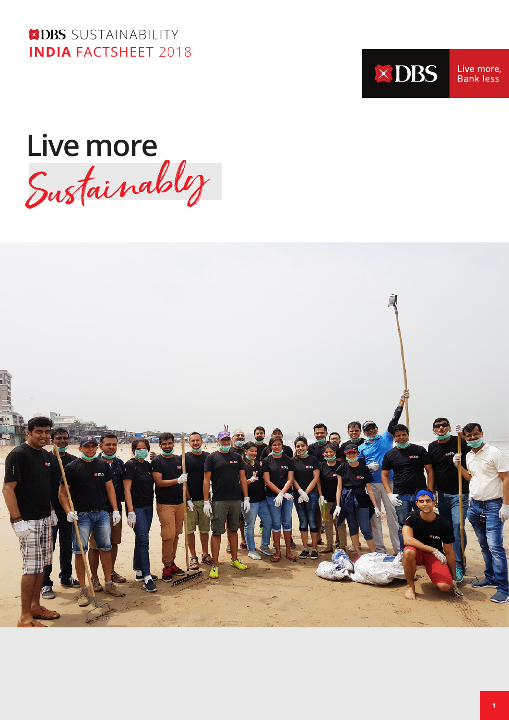**XDBS** SUSTAINABILITY **INDIA** FACTSHEET 2018



Live more, Bank less

Live more<br>Sustainably

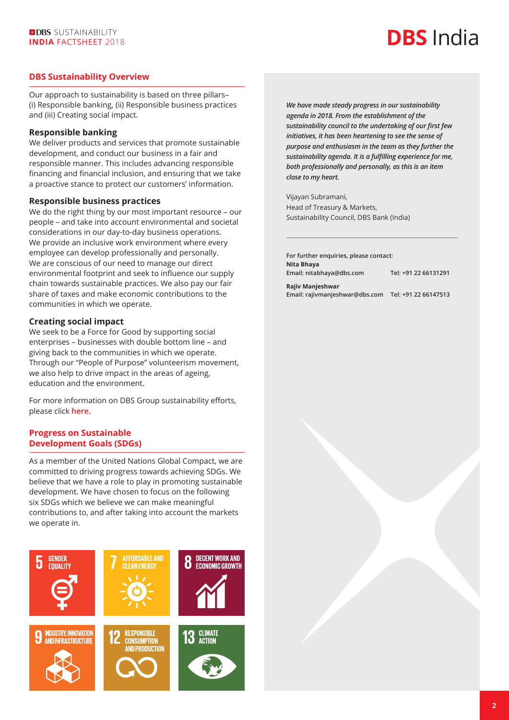# **DBS** India

#### **DBS Sustainability Overview**

Our approach to sustainability is based on three pillars– (i) Responsible banking, (ii) Responsible business practices and (iii) Creating social impact.

#### **Responsible banking**

We deliver products and services that promote sustainable development, and conduct our business in a fair and responsible manner. This includes advancing responsible financing and financial inclusion, and ensuring that we take a proactive stance to protect our customers' information.

#### **Responsible business practices**

We do the right thing by our most important resource – our people – and take into account environmental and societal considerations in our day-to-day business operations. We provide an inclusive work environment where every employee can develop professionally and personally. We are conscious of our need to manage our direct environmental footprint and seek to influence our supply chain towards sustainable practices. We also pay our fair share of taxes and make economic contributions to the communities in which we operate.

#### **Creating social impact**

We seek to be a Force for Good by supporting social enterprises – businesses with double bottom line – and giving back to the communities in which we operate. Through our "People of Purpose" volunteerism movement, we also help to drive impact in the areas of ageing, education and the environment.

For more information on DBS Group sustainability efforts, please click **[here.](https://www.dbs.com/sustainability/default.page)**

#### **Progress on Sustainable Development Goals (SDGs)**

As a member of the United Nations Global Compact, we are committed to driving progress towards achieving SDGs. We believe that we have a role to play in promoting sustainable development. We have chosen to focus on the following six SDGs which we believe we can make meaningful contributions to, and after taking into account the markets we operate in.



*We have made steady progress in our sustainability agenda in 2018. From the establishment of the sustainability council to the undertaking of our first few initiatives, it has been heartening to see the sense of purpose and enthusiasm in the team as they further the sustainability agenda. It is a fulfilling experience for me, both professionally and personally, as this is an item close to my heart.*

Vijayan Subramani, Head of Treasury & Markets, Sustainability Council, DBS Bank (India)

**For further enquiries, please contact: Nita Bhaya Email: nitabhaya@dbs.com Tel: +91 22 66131291 Rajiv Manjeshwar Email: rajivmanjeshwar@dbs.com Tel: +91 22 66147513**

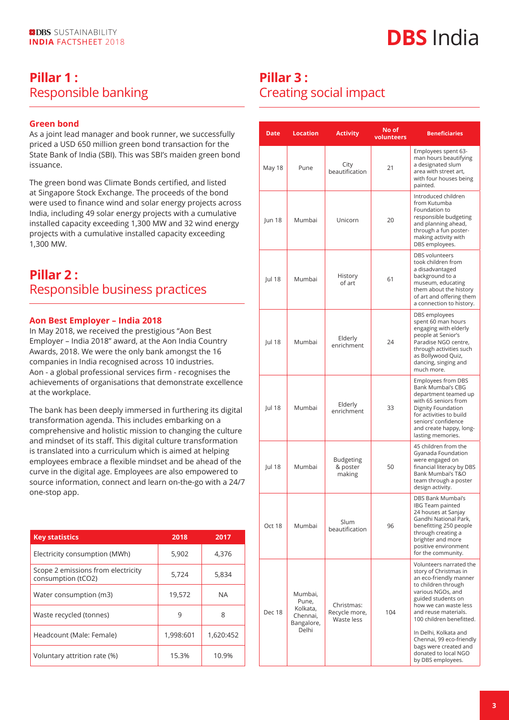## **Pillar 1 :**  Responsible banking

#### **Green bond**

As a joint lead manager and book runner, we successfully priced a USD 650 million green bond transaction for the State Bank of India (SBI). This was SBI's maiden green bond issuance.

The green bond was Climate Bonds certified, and listed at Singapore Stock Exchange. The proceeds of the bond were used to finance wind and solar energy projects across India, including 49 solar energy projects with a cumulative installed capacity exceeding 1,300 MW and 32 wind energy projects with a cumulative installed capacity exceeding 1,300 MW.

### **Pillar 2 :**  Responsible business practices

#### **Aon Best Employer – India 2018**

In May 2018, we received the prestigious "Aon Best Employer – India 2018" award, at the Aon India Country Awards, 2018. We were the only bank amongst the 16 companies in India recognised across 10 industries. Aon - a global professional services firm - recognises the achievements of organisations that demonstrate excellence at the workplace.

The bank has been deeply immersed in furthering its digital transformation agenda. This includes embarking on a comprehensive and holistic mission to changing the culture and mindset of its staff. This digital culture transformation is translated into a curriculum which is aimed at helping employees embrace a flexible mindset and be ahead of the curve in the digital age. Employees are also empowered to source information, connect and learn on-the-go with a 24/7 one-stop app.

| <b>Key statistics</b>                                    | 2018      | 2017      |
|----------------------------------------------------------|-----------|-----------|
| Electricity consumption (MWh)                            | 5,902     | 4.376     |
| Scope 2 emissions from electricity<br>consumption (tCO2) | 5,724     | 5,834     |
| Water consumption (m3)                                   | 19.572    | <b>NA</b> |
| Waste recycled (tonnes)                                  | 9         | 8         |
| Headcount (Male: Female)                                 | 1,998:601 | 1,620:452 |
| Voluntary attrition rate (%)                             | 15.3%     | 10.9%     |

### **Pillar 3 :**  Creating social impact

| <b>Date</b>   | <b>Location</b>                                                 | <b>Activity</b>                           | No of<br>volunteers | <b>Beneficiaries</b>                                                                                                                                                                                                                                                                                                                                 |
|---------------|-----------------------------------------------------------------|-------------------------------------------|---------------------|------------------------------------------------------------------------------------------------------------------------------------------------------------------------------------------------------------------------------------------------------------------------------------------------------------------------------------------------------|
| May 18        | Pune                                                            | City<br>beautification                    | 21                  | Employees spent 63-<br>man hours beautifying<br>a designated slum<br>area with street art,<br>with four houses being<br>painted.                                                                                                                                                                                                                     |
| Jun 18        | Mumbai                                                          | Unicorn                                   | 20                  | Introduced children<br>from Kutumba<br>Foundation to<br>responsible budgeting<br>and planning ahead,<br>through a fun poster-<br>making activity with<br>DBS employees.                                                                                                                                                                              |
| Jul 18        | Mumbai                                                          | History<br>of art                         | 61                  | <b>DBS</b> volunteers<br>took children from<br>a disadvantaged<br>background to a<br>museum, educating<br>them about the history<br>of art and offering them<br>a connection to history.                                                                                                                                                             |
| Jul 18        | Mumbai                                                          | Elderly<br>enrichment                     | 24                  | DBS employees<br>spent 60 man hours<br>engaging with elderly<br>people at Senior's<br>Paradise NGO centre.<br>through activities such<br>as Bollywood Quiz,<br>dancing, singing and<br>much more.                                                                                                                                                    |
| Jul 18        | Mumbai                                                          | Elderly<br>enrichment                     | 33                  | Employees from DBS<br>Bank Mumbai's CBG<br>department teamed up<br>with 65 seniors from<br>Dignity Foundation<br>for activities to build<br>seniors' confidence<br>and create happy, long-<br>lasting memories.                                                                                                                                      |
| <b>Jul 18</b> | Mumbai                                                          | <b>Budgeting</b><br>& poster<br>making    | 50                  | 45 children from the<br>Gyanada Foundation<br>were engaged on<br>financial literacy by DBS<br>Bank Mumbai's T&O<br>team through a poster<br>design activity.                                                                                                                                                                                         |
| Oct 18        | Mumbai                                                          | Slum<br>beautification                    | 96                  | <b>DBS Bank Mumbai's</b><br>IBG Team painted<br>24 houses at Sanjay<br>Gandhi National Park.<br>benefitting 250 people<br>through creating a<br>brighter and more<br>positive environment<br>for the community.                                                                                                                                      |
| Dec 18        | Mumbai,<br>Pune,<br>Kolkata,<br>Chennai,<br>Bangalore,<br>Delhi | Christmas:<br>Recycle more,<br>Waste less | 104                 | Volunteers narrated the<br>story of Christmas in<br>an eco-friendly manner<br>to children through<br>various NGOs, and<br>guided students on<br>how we can waste less<br>and reuse materials.<br>100 children benefitted.<br>In Delhi, Kolkata and<br>Chennai, 99 eco-friendly<br>bags were created and<br>donated to local NGO<br>by DBS employees. |